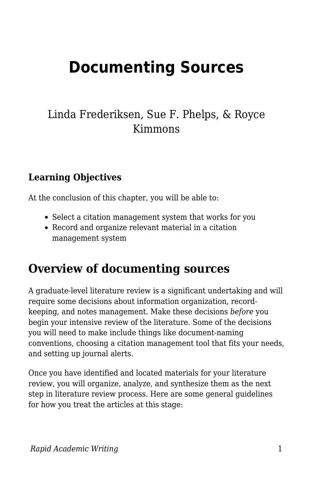# **Documenting Sources**

### Linda Frederiksen, Sue F. Phelps, & Royce Kimmons

### **Learning Objectives**

At the conclusion of this chapter, you will be able to:

- Select a citation management system that works for you
- Record and organize relevant material in a citation management system

## **Overview of documenting sources**

A graduate-level literature review is a significant undertaking and will require some decisions about information organization, recordkeeping, and notes management. Make these decisions *before* you begin your intensive review of the literature. Some of the decisions you will need to make include things like document-naming conventions, choosing a citation management tool that fits your needs, and setting up journal alerts.

Once you have identified and located materials for your literature review, you will organize, analyze, and synthesize them as the next step in literature review process. Here are some general guidelines for how you treat the articles at this stage: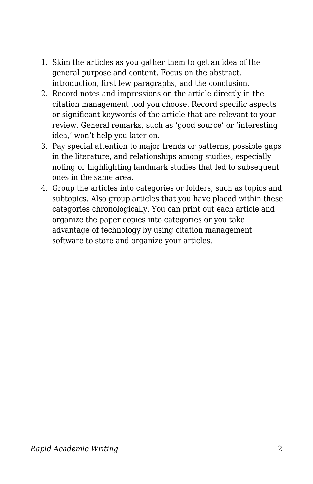- 1. Skim the articles as you gather them to get an idea of the general purpose and content. Focus on the abstract, introduction, first few paragraphs, and the conclusion.
- 2. Record notes and impressions on the article directly in the citation management tool you choose. Record specific aspects or significant keywords of the article that are relevant to your review. General remarks, such as 'good source' or 'interesting idea,' won't help you later on.
- 3. Pay special attention to major trends or patterns, possible gaps in the literature, and relationships among studies, especially noting or highlighting landmark studies that led to subsequent ones in the same area.
- 4. Group the articles into categories or folders, such as topics and subtopics. Also group articles that you have placed within these categories chronologically. You can print out each article and organize the paper copies into categories or you take advantage of technology by using citation management software to store and organize your articles.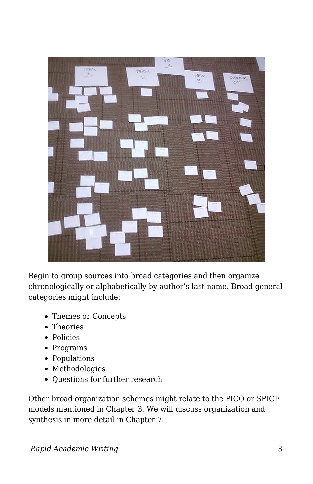

Begin to group sources into broad categories and then organize chronologically or alphabetically by author's last name. Broad general categories might include:

- Themes or Concepts
- Theories
- Policies
- Programs
- Populations
- Methodologies
- Questions for further research

Other broad organization schemes might relate to the PICO or SPICE models mentioned in Chapter 3. We will discuss organization and synthesis in more detail in Chapter 7.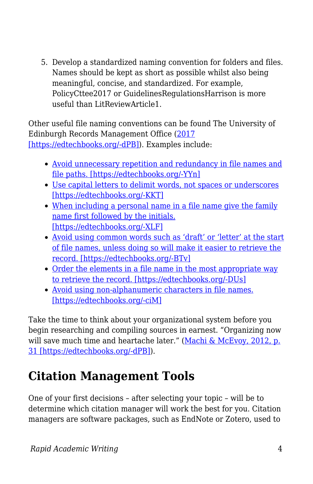5. Develop a standardized naming convention for folders and files. Names should be kept as short as possible whilst also being meaningful, concise, and standardized. For example, PolicyCttee2017 or GuidelinesRegulationsHarrison is more useful than LitReviewArticle1.

Other useful file naming conventions can be found The University of Edinburgh Records Management Office ([2017](https://edtechbooks.org/rapidwriting/lit_rev_conclusion/#ref6) [\[https://edtechbooks.org/-dPB\]\)](https://edtechbooks.org/rapidwriting/lit_rev_conclusion/#ref6). Examples include:

- [Avoid unnecessary repetition and redundancy in file names and](http://www.ed.ac.uk/records-management/records-management/staff-guidance/electronic-records/naming-conventions/repetition) [file paths. \[https://edtechbooks.org/-YYn\]](http://www.ed.ac.uk/records-management/records-management/staff-guidance/electronic-records/naming-conventions/repetition)
- [Use capital letters to delimit words, not spaces or underscores](http://www.ed.ac.uk/records-management/records-management/staff-guidance/electronic-records/naming-conventions/delimit-words) [\[https://edtechbooks.org/-KKT\]](http://www.ed.ac.uk/records-management/records-management/staff-guidance/electronic-records/naming-conventions/delimit-words)
- [When including a personal name in a file name give the family](http://www.ed.ac.uk/records-management/records-management/staff-guidance/electronic-records/naming-conventions/surname) [name first followed by the initials.](http://www.ed.ac.uk/records-management/records-management/staff-guidance/electronic-records/naming-conventions/surname) [\[https://edtechbooks.org/-XLF\]](http://www.ed.ac.uk/records-management/records-management/staff-guidance/electronic-records/naming-conventions/surname)
- [Avoid using common words such as 'draft' or 'letter' at the start](http://www.ed.ac.uk/records-management/records-management/staff-guidance/electronic-records/naming-conventions/common-words) [of file names, unless doing so will make it easier to retrieve the](http://www.ed.ac.uk/records-management/records-management/staff-guidance/electronic-records/naming-conventions/common-words) [record. \[https://edtechbooks.org/-BTv\]](http://www.ed.ac.uk/records-management/records-management/staff-guidance/electronic-records/naming-conventions/common-words)
- [Order the elements in a file name in the most appropriate way](http://www.ed.ac.uk/records-management/records-management/staff-guidance/electronic-records/naming-conventions/ordering) [to retrieve the record. \[https://edtechbooks.org/-DUs\]](http://www.ed.ac.uk/records-management/records-management/staff-guidance/electronic-records/naming-conventions/ordering)
- [Avoid using non-alphanumeric characters in file names.](http://www.ed.ac.uk/records-management/records-management/staff-guidance/electronic-records/naming-conventions/non-ascii-characters) [\[https://edtechbooks.org/-ciM\]](http://www.ed.ac.uk/records-management/records-management/staff-guidance/electronic-records/naming-conventions/non-ascii-characters)

Take the time to think about your organizational system before you begin researching and compiling sources in earnest. "Organizing now will save much time and heartache later." ([Machi & McEvoy, 2012, p.](https://edtechbooks.org/rapidwriting/lit_rev_conclusion/#ref6) [31 \[https://edtechbooks.org/-dPB\]](https://edtechbooks.org/rapidwriting/lit_rev_conclusion/#ref6)).

## **Citation Management Tools**

One of your first decisions – after selecting your topic – will be to determine which citation manager will work the best for you. Citation managers are software packages, such as EndNote or Zotero, used to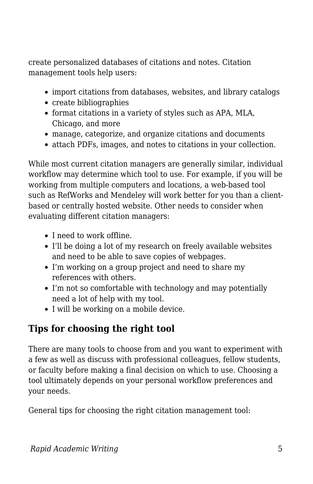create personalized databases of citations and notes. Citation management tools help users:

- import citations from databases, websites, and library catalogs
- create bibliographies
- format citations in a variety of styles such as APA, MLA, Chicago, and more
- manage, categorize, and organize citations and documents
- attach PDFs, images, and notes to citations in your collection.

While most current citation managers are generally similar, individual workflow may determine which tool to use. For example, if you will be working from multiple computers and locations, a web-based tool such as RefWorks and Mendeley will work better for you than a clientbased or centrally hosted website. Other needs to consider when evaluating different citation managers:

- I need to work offline.
- I'll be doing a lot of my research on freely available websites and need to be able to save copies of webpages.
- I'm working on a group project and need to share my references with others.
- I'm not so comfortable with technology and may potentially need a lot of help with my tool.
- I will be working on a mobile device.

### **Tips for choosing the right tool**

There are many tools to choose from and you want to experiment with a few as well as discuss with professional colleagues, fellow students, or faculty before making a final decision on which to use. Choosing a tool ultimately depends on your personal workflow preferences and your needs.

General tips for choosing the right citation management tool: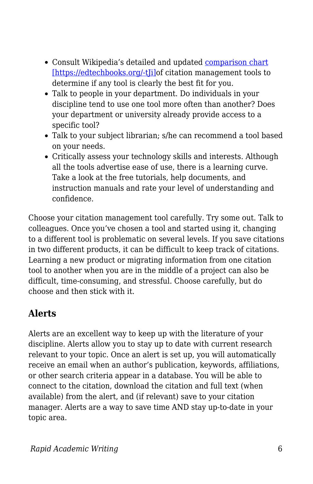- Consult Wikipedia's detailed and updated [comparison chart](https://en.wikipedia.org/wiki/Comparison_of_reference_management_software) [\[https://edtechbooks.org/-tJi\]o](https://en.wikipedia.org/wiki/Comparison_of_reference_management_software)f citation management tools to determine if any tool is clearly the best fit for you.
- Talk to people in your department. Do individuals in your discipline tend to use one tool more often than another? Does your department or university already provide access to a specific tool?
- Talk to your subject librarian; s/he can recommend a tool based on your needs.
- Critically assess your technology skills and interests. Although all the tools advertise ease of use, there is a learning curve. Take a look at the free tutorials, help documents, and instruction manuals and rate your level of understanding and confidence.

Choose your citation management tool carefully. Try some out. Talk to colleagues. Once you've chosen a tool and started using it, changing to a different tool is problematic on several levels. If you save citations in two different products, it can be difficult to keep track of citations. Learning a new product or migrating information from one citation tool to another when you are in the middle of a project can also be difficult, time-consuming, and stressful. Choose carefully, but do choose and then stick with it.

### **Alerts**

Alerts are an excellent way to keep up with the literature of your discipline. Alerts allow you to stay up to date with current research relevant to your topic. Once an alert is set up, you will automatically receive an email when an author's publication, keywords, affiliations, or other search criteria appear in a database. You will be able to connect to the citation, download the citation and full text (when available) from the alert, and (if relevant) save to your citation manager. Alerts are a way to save time AND stay up-to-date in your topic area.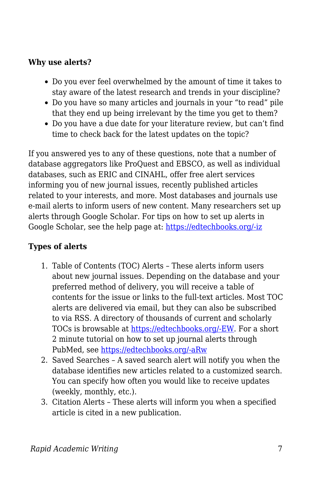#### **Why use alerts?**

- Do you ever feel overwhelmed by the amount of time it takes to stay aware of the latest research and trends in your discipline?
- Do you have so many articles and journals in your "to read" pile that they end up being irrelevant by the time you get to them?
- Do you have a due date for your literature review, but can't find time to check back for the latest updates on the topic?

If you answered yes to any of these questions, note that a number of database aggregators like ProQuest and EBSCO, as well as individual databases, such as ERIC and CINAHL, offer free alert services informing you of new journal issues, recently published articles related to your interests, and more. Most databases and journals use e-mail alerts to inform users of new content. Many researchers set up alerts through Google Scholar. For tips on how to set up alerts in Google Scholar, see the help page at: [https://edtechbooks.org/-iz](https://scholar.google.com/intl/en/scholar/help.html#alerts)

### **Types of alerts**

- 1. Table of Contents (TOC) Alerts These alerts inform users about new journal issues. Depending on the database and your preferred method of delivery, you will receive a table of contents for the issue or links to the full-text articles. Most TOC alerts are delivered via email, but they can also be subscribed to via RSS. A directory of thousands of current and scholarly TOCs is browsable at [https://edtechbooks.org/-EW](http://www.journaltocs.hw.ac.uk/). For a short 2 minute tutorial on how to set up journal alerts through PubMed, see [https://edtechbooks.org/-aRw](https://www.nlm.nih.gov/bsd/viewlet/myncbi/jourup/index.html)
- 2. Saved Searches A saved search alert will notify you when the database identifies new articles related to a customized search. You can specify how often you would like to receive updates (weekly, monthly, etc.).
- 3. Citation Alerts These alerts will inform you when a specified article is cited in a new publication.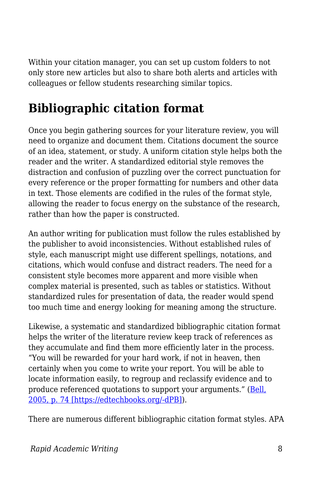Within your citation manager, you can set up custom folders to not only store new articles but also to share both alerts and articles with colleagues or fellow students researching similar topics.

## **Bibliographic citation format**

Once you begin gathering sources for your literature review, you will need to organize and document them. Citations document the source of an idea, statement, or study. A uniform citation style helps both the reader and the writer. A standardized editorial style removes the distraction and confusion of puzzling over the correct punctuation for every reference or the proper formatting for numbers and other data in text. Those elements are codified in the rules of the format style, allowing the reader to focus energy on the substance of the research, rather than how the paper is constructed.

An author writing for publication must follow the rules established by the publisher to avoid inconsistencies. Without established rules of style, each manuscript might use different spellings, notations, and citations, which would confuse and distract readers. The need for a consistent style becomes more apparent and more visible when complex material is presented, such as tables or statistics. Without standardized rules for presentation of data, the reader would spend too much time and energy looking for meaning among the structure.

Likewise, a systematic and standardized bibliographic citation format helps the writer of the literature review keep track of references as they accumulate and find them more efficiently later in the process. "You will be rewarded for your hard work, if not in heaven, then certainly when you come to write your report. You will be able to locate information easily, to regroup and reclassify evidence and to produce referenced quotations to support your arguments." [\(Bell,](https://edtechbooks.org/rapidwriting/lit_rev_conclusion/#ref6) [2005, p. 74 \[https://edtechbooks.org/-dPB\]](https://edtechbooks.org/rapidwriting/lit_rev_conclusion/#ref6)).

There are numerous different bibliographic citation format styles. APA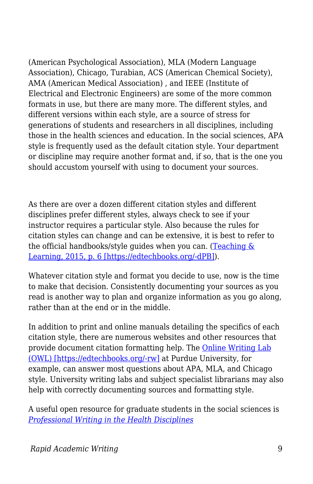(American Psychological Association), MLA (Modern Language Association), Chicago, Turabian, ACS (American Chemical Society), AMA (American Medical Association) , and IEEE (Institute of Electrical and Electronic Engineers) are some of the more common formats in use, but there are many more. The different styles, and different versions within each style, are a source of stress for generations of students and researchers in all disciplines, including those in the health sciences and education. In the social sciences, APA style is frequently used as the default citation style. Your department or discipline may require another format and, if so, that is the one you should accustom yourself with using to document your sources.

As there are over a dozen different citation styles and different disciplines prefer different styles, always check to see if your instructor requires a particular style. Also because the rules for citation styles can change and can be extensive, it is best to refer to the official handbooks/style quides when you can. (Teaching  $\&$ [Learning, 2015, p. 6 \[https://edtechbooks.org/-dPB\]](https://edtechbooks.org/rapidwriting/lit_rev_conclusion/#ref6)).

Whatever citation style and format you decide to use, now is the time to make that decision. Consistently documenting your sources as you read is another way to plan and organize information as you go along, rather than at the end or in the middle.

In addition to print and online manuals detailing the specifics of each citation style, there are numerous websites and other resources that provide document citation formatting help. The [Online Writing Lab](https://owl.english.purdue.edu/owl/) [\(OWL\) \[https://edtechbooks.org/-rw\]](https://owl.english.purdue.edu/owl/) at Purdue University, for example, can answer most questions about APA, MLA, and Chicago style. University writing labs and subject specialist librarians may also help with correctly documenting sources and formatting style.

A useful open resource for graduate students in the social sciences is *[Professional Writing in the Health Disciplines](http://epub-fhd.athabascau.ca/professionalwriting/)*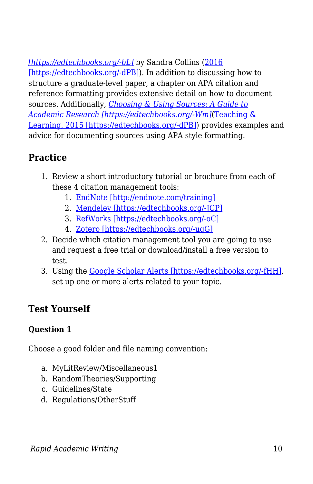*[\[https://edtechbooks.org/-bL\]](http://epub-fhd.athabascau.ca/professionalwriting/)* by Sandra Collins [\(2016](https://edtechbooks.org/rapidwriting/lit_rev_conclusion/#ref6) [\[https://edtechbooks.org/-dPB\]\)](https://edtechbooks.org/rapidwriting/lit_rev_conclusion/#ref6). In addition to discussing how to structure a graduate-level paper, a chapter on APA citation and reference formatting provides extensive detail on how to document sources. Additionally, *[Choosing & Using Sources: A Guide to](https://osu.pb.unizin.org/choosingsources/) [Academic Research \[https://edtechbooks.org/-Wm\]](https://osu.pb.unizin.org/choosingsources/)*[\(Teaching &](https://edtechbooks.org/rapidwriting/lit_rev_conclusion/#ref6) [Learning, 2015 \[https://edtechbooks.org/-dPB\]](https://edtechbooks.org/rapidwriting/lit_rev_conclusion/#ref6)) provides examples and advice for documenting sources using APA style formatting.

### **Practice**

- 1. Review a short introductory tutorial or brochure from each of these 4 citation management tools:
	- 1. [EndNote \[http://endnote.com/training\]](http://endnote.com/training)
	- 2. [Mendeley \[https://edtechbooks.org/-JCP\]](http://community.mendeley.com/guides/videos#lightbox/0/)
	- 3. [RefWorks \[https://edtechbooks.org/-oC\]](http://proquest.libguides.com/newrefworks)
	- 4. [Zotero \[https://edtechbooks.org/-uqG\]](https://www.zotero.org/support/screencast_tutorials)
- 2. Decide which citation management tool you are going to use and request a free trial or download/install a free version to test.
- 3. Using the [Google Scholar Alerts \[https://edtechbooks.org/-fHH\]](https://scholar.google.com/scholar_alerts?view_op=list_alerts&hl=en), set up one or more alerts related to your topic.

### **Test Yourself**

### **Question 1**

Choose a good folder and file naming convention:

- a. MyLitReview/Miscellaneous1
- b. RandomTheories/Supporting
- c. Guidelines/State
- d. Regulations/OtherStuff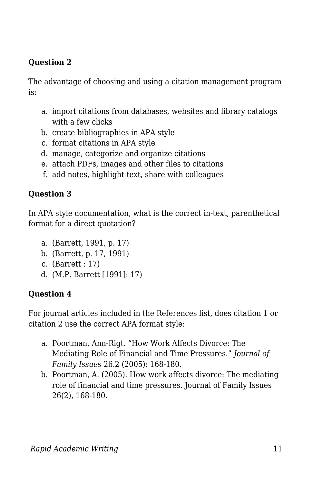### **Question 2**

The advantage of choosing and using a citation management program is:

- a. import citations from databases, websites and library catalogs with a few clicks
- b. create bibliographies in APA style
- c. format citations in APA style
- d. manage, categorize and organize citations
- e. attach PDFs, images and other files to citations
- f. add notes, highlight text, share with colleagues

### **Question 3**

In APA style documentation, what is the correct in-text, parenthetical format for a direct quotation?

- a. (Barrett, 1991, p. 17)
- b. (Barrett, p. 17, 1991)
- c. (Barrett : 17)
- d. (M.P. Barrett [1991]: 17)

### **Question 4**

For journal articles included in the References list, does citation 1 or citation 2 use the correct APA format style:

- a. Poortman, Ann-Rigt. "How Work Affects Divorce: The Mediating Role of Financial and Time Pressures." *Journal of Family Issues* 26.2 (2005): 168-180.
- b. Poortman, A. (2005). How work affects divorce: The mediating role of financial and time pressures. Journal of Family Issues 26(2), 168-180.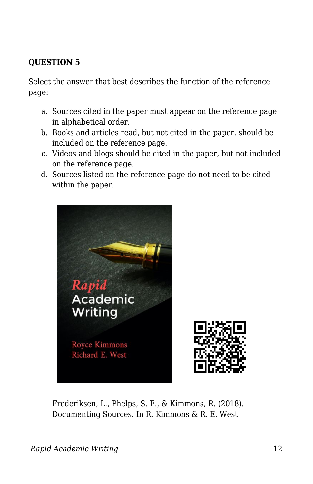### **QUESTION 5**

Select the answer that best describes the function of the reference page:

- a. Sources cited in the paper must appear on the reference page in alphabetical order.
- b. Books and articles read, but not cited in the paper, should be included on the reference page.
- c. Videos and blogs should be cited in the paper, but not included on the reference page.
- d. Sources listed on the reference page do not need to be cited within the paper.



Frederiksen, L., Phelps, S. F., & Kimmons, R. (2018). Documenting Sources. In R. Kimmons & R. E. West